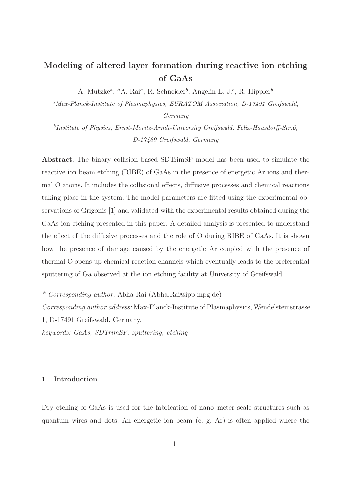# Modeling of altered layer formation during reactive ion etching of GaAs

A. Mutzke<sup>a</sup>, \*A. Rai<sup>a</sup>, R. Schneider<sup>b</sup>, Angelin E. J.<sup>b</sup>, R. Hippler<sup>b</sup>

<sup>a</sup>Max-Planck-Institute of Plasmaphysics, EURATOM Association, D-17491 Greifswald,

Germany

<sup>b</sup>Institute of Physics, Ernst-Moritz-Arndt-University Greifswald, Felix-Hausdorff-Str.6, D-17489 Greifswald, Germany

Abstract: The binary collision based SDTrimSP model has been used to simulate the reactive ion beam etching (RIBE) of GaAs in the presence of energetic Ar ions and thermal O atoms. It includes the collisional effects, diffusive processes and chemical reactions taking place in the system. The model parameters are fitted using the experimental observations of Grigonis [1] and validated with the experimental results obtained during the GaAs ion etching presented in this paper. A detailed analysis is presented to understand the effect of the diffusive processes and the role of O during RIBE of GaAs. It is shown how the presence of damage caused by the energetic Ar coupled with the presence of thermal O opens up chemical reaction channels which eventually leads to the preferential sputtering of Ga observed at the ion etching facility at University of Greifswald.

*\* Corresponding author:* Abha Rai (Abha.Rai@ipp.mpg.de)

*Corresponding author address:* Max-Planck-Institute of Plasmaphysics, Wendelsteinstrasse 1, D-17491 Greifswald, Germany.

*keywords: GaAs, SDTrimSP, sputtering, etching*

# 1 Introduction

Dry etching of GaAs is used for the fabrication of nano–meter scale structures such as quantum wires and dots. An energetic ion beam (e. g. Ar) is often applied where the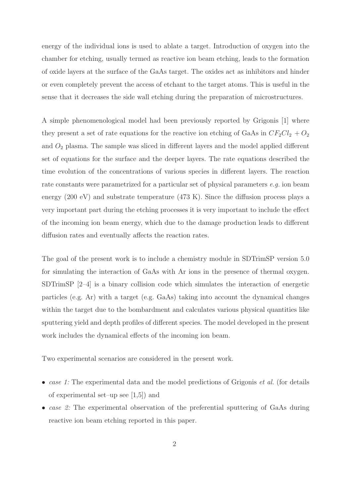energy of the individual ions is used to ablate a target. Introduction of oxygen into the chamber for etching, usually termed as reactive ion beam etching, leads to the formation of oxide layers at the surface of the GaAs target. The oxides act as inhibitors and hinder or even completely prevent the access of etchant to the target atoms. This is useful in the sense that it decreases the side wall etching during the preparation of microstructures.

A simple phenomenological model had been previously reported by Grigonis [1] where they present a set of rate equations for the reactive ion etching of GaAs in  $CF_2Cl_2 + O_2$ and  $O_2$  plasma. The sample was sliced in different layers and the model applied different set of equations for the surface and the deeper layers. The rate equations described the time evolution of the concentrations of various species in different layers. The reaction rate constants were parametrized for a particular set of physical parameters *e.g.* ion beam energy (200 eV) and substrate temperature (473 K). Since the diffusion process plays a very important part during the etching processes it is very important to include the effect of the incoming ion beam energy, which due to the damage production leads to different diffusion rates and eventually affects the reaction rates.

The goal of the present work is to include a chemistry module in SDTrimSP version 5.0 for simulating the interaction of GaAs with Ar ions in the presence of thermal oxygen. SDTrimSP [2–4] is a binary collision code which simulates the interaction of energetic particles (e.g. Ar) with a target (e.g. GaAs) taking into account the dynamical changes within the target due to the bombardment and calculates various physical quantities like sputtering yield and depth profiles of different species. The model developed in the present work includes the dynamical effects of the incoming ion beam.

Two experimental scenarios are considered in the present work.

- *case 1:* The experimental data and the model predictions of Grigonis *et al.* (for details of experimental set–up see [1,5]) and
- *case 2:* The experimental observation of the preferential sputtering of GaAs during reactive ion beam etching reported in this paper.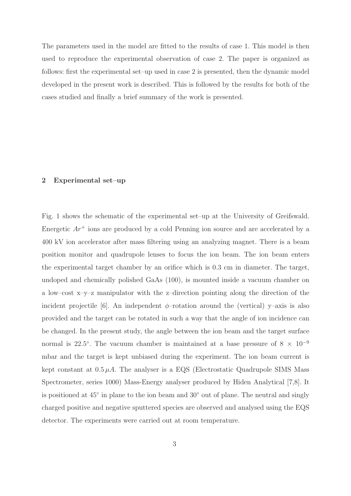The parameters used in the model are fitted to the results of case 1. This model is then used to reproduce the experimental observation of case 2. The paper is organized as follows: first the experimental set–up used in case 2 is presented, then the dynamic model developed in the present work is described. This is followed by the results for both of the cases studied and finally a brief summary of the work is presented.

## 2 Experimental set–up

Fig. 1 shows the schematic of the experimental set–up at the University of Greifswald. Energetic  $Ar^+$  ions are produced by a cold Penning ion source and are accelerated by a 400 kV ion accelerator after mass filtering using an analyzing magnet. There is a beam position monitor and quadrupole lenses to focus the ion beam. The ion beam enters the experimental target chamber by an orifice which is 0.3 cm in diameter. The target, undoped and chemically polished GaAs (100), is mounted inside a vacuum chamber on a low–cost x–y–z manipulator with the z–direction pointing along the direction of the incident projectile [6]. An independent  $\phi$ -rotation around the (vertical) y–axis is also provided and the target can be rotated in such a way that the angle of ion incidence can be changed. In the present study, the angle between the ion beam and the target surface normal is 22.5°. The vacuum chamber is maintained at a base pressure of  $8 \times 10^{-9}$ mbar and the target is kept unbiased during the experiment. The ion beam current is kept constant at  $0.5 \mu A$ . The analyser is a EQS (Electrostatic Quadrupole SIMS Mass Spectrometer, series 1000) Mass-Energy analyser produced by Hiden Analytical [7,8]. It is positioned at 45◦ in plane to the ion beam and 30◦ out of plane. The neutral and singly charged positive and negative sputtered species are observed and analysed using the EQS detector. The experiments were carried out at room temperature.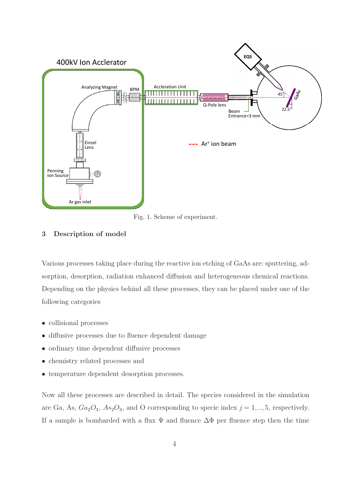

Fig. 1. Scheme of experiment.

## 3 Description of model

Various processes taking place during the reactive ion etching of GaAs are: sputtering, adsorption, desorption, radiation enhanced diffusion and heterogeneous chemical reactions. Depending on the physics behind all these processes, they can be placed under one of the following categories

- collisional processes
- diffusive processes due to fluence dependent damage
- ordinary time dependent diffusive processes
- chemistry related processes and
- temperature dependent desorption processes.

Now all these processes are described in detail. The species considered in the simulation are Ga, As,  $Ga_2O_3$ ,  $As_2O_3$ , and O corresponding to specie index  $j = 1, ..., 5$ , respectively. If a sample is bombarded with a flux  $\Psi$  and fluence  $\Delta\Phi$  per fluence step then the time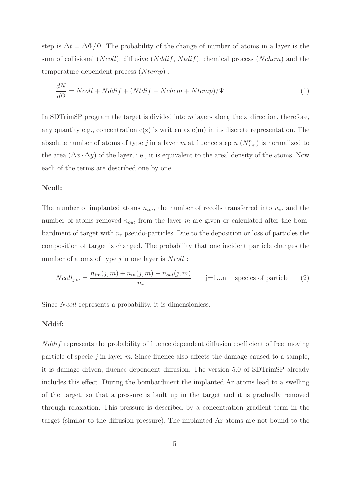step is  $\Delta t = \Delta \Phi / \Psi$ . The probability of the change of number of atoms in a layer is the sum of collisional  $(Ncoll)$ , diffusive  $(Nddif, Ntdif)$ , chemical process  $(Nchem)$  and the temperature dependent process  $(Ntemp)$ :

$$
\frac{dN}{d\Phi} = Ncoll + Nddif + (Ntdif + Nchem + Ntemp)/\Psi
$$
\n(1)

In SDTrimSP program the target is divided into *m* layers along the z–direction, therefore, any quantity e.g., concentration  $c(z)$  is written as  $c(m)$  in its discrete representation. The absolute number of atoms of type *j* in a layer *m* at fluence step *n*  $(N_{j,m}^n)$  is normalized to the area  $(\Delta x \cdot \Delta y)$  of the layer, i.e., it is equivalent to the areal density of the atoms. Now each of the terms are described one by one.

## Ncoll:

The number of implanted atoms  $n_{im}$ , the number of recoils transferred into  $n_{in}$  and the number of atoms removed  $n_{out}$  from the layer  $m$  are given or calculated after the bombardment of target with  $n_r$  pseudo-particles. Due to the deposition or loss of particles the composition of target is changed. The probability that one incident particle changes the number of atoms of type *j* in one layer is *Ncoll*:

$$
Ncoll_{j,m} = \frac{n_{im}(j,m) + n_{in}(j,m) - n_{out}(j,m)}{n_r}
$$
 j=1...n species of particle (2)

Since Ncoll represents a probability, it is dimensionless.

#### Nddif:

 $N \, d \, d \, i f$  represents the probability of fluence dependent diffusion coefficient of free–moving particle of specie *j* in layer *m*. Since fluence also affects the damage caused to a sample, it is damage driven, fluence dependent diffusion. The version 5.0 of SDTrimSP already includes this effect. During the bombardment the implanted Ar atoms lead to a swelling of the target, so that a pressure is built up in the target and it is gradually removed through relaxation. This pressure is described by a concentration gradient term in the target (similar to the diffusion pressure). The implanted Ar atoms are not bound to the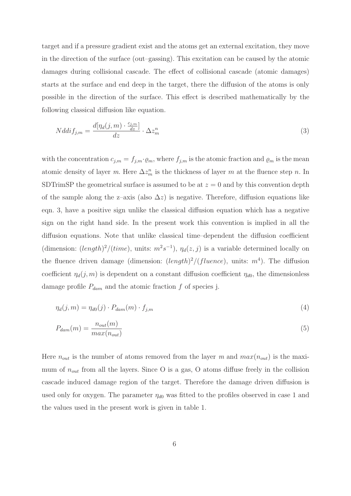target and if a pressure gradient exist and the atoms get an external excitation, they move in the direction of the surface (out–gassing). This excitation can be caused by the atomic damages during collisional cascade. The effect of collisional cascade (atomic damages) starts at the surface and end deep in the target, there the diffusion of the atoms is only possible in the direction of the surface. This effect is described mathematically by the following classical diffusion like equation.

$$
Nddif_{j,m} = \frac{d[\eta_d(j,m) \cdot \frac{c_{j,m}}{dz}]}{dz} \cdot \Delta z_m^n \tag{3}
$$

with the concentration  $c_{j,m} = f_{j,m} \cdot \varrho_m$ , where  $f_{j,m}$  is the atomic fraction and  $\varrho_m$  is the mean atomic density of layer *m*. Here  $\Delta z_m^n$  is the thickness of layer *m* at the fluence step *n*. In SDTrimSP the geometrical surface is assumed to be at  $z = 0$  and by this convention depth of the sample along the z–axis (also  $\Delta z$ ) is negative. Therefore, diffusion equations like eqn. 3, have a positive sign unlike the classical diffusion equation which has a negative sign on the right hand side. In the present work this convention is implied in all the diffusion equations. Note that unlike classical time–dependent the diffusion coefficient (dimension:  $(length)^2/(time)$ , units:  $m^2s^{-1}$ ),  $\eta_d(z, j)$  is a variable determined locally on the fluence driven damage (dimension:  $(length)^2/(fluence)$ , units:  $m<sup>4</sup>$ ). The diffusion coefficient  $\eta_d(j, m)$  is dependent on a constant diffusion coefficient  $\eta_{d0}$ , the dimensionless damage profile  $P_{dam}$  and the atomic fraction f of species j.

$$
\eta_d(j,m) = \eta_{d0}(j) \cdot P_{dam}(m) \cdot f_{j,m} \tag{4}
$$

$$
P_{dam}(m) = \frac{n_{out}(m)}{max(n_{out})}
$$
\n<sup>(5)</sup>

Here  $n_{out}$  is the number of atoms removed from the layer m and  $max(n_{out})$  is the maximum of  $n_{out}$  from all the layers. Since O is a gas, O atoms diffuse freely in the collision cascade induced damage region of the target. Therefore the damage driven diffusion is used only for oxygen. The parameter  $\eta_{d0}$  was fitted to the profiles observed in case 1 and the values used in the present work is given in table 1.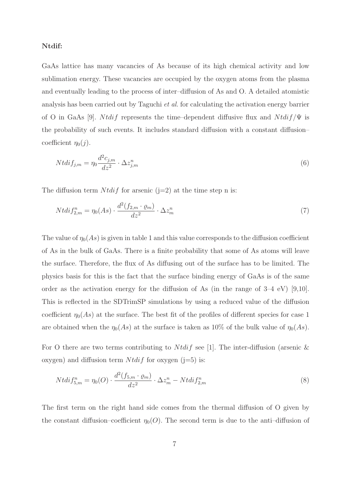#### Ntdif:

GaAs lattice has many vacancies of As because of its high chemical activity and low sublimation energy. These vacancies are occupied by the oxygen atoms from the plasma and eventually leading to the process of inter–diffusion of As and O. A detailed atomistic analysis has been carried out by Taguchi *et al.* for calculating the activation energy barrier of O in GaAs [9]. Ntdif represents the time–dependent diffusive flux and  $N t \frac{di f}{\Psi}$  is the probability of such events. It includes standard diffusion with a constant diffusion– coefficient  $\eta_0(j)$ .

$$
Ntdif_{j,m} = \eta_0 \frac{d^2 c_{j,m}}{dz^2} \cdot \Delta z_{j,m}^n \tag{6}
$$

The diffusion term  $N t df$  for arsenic (j=2) at the time step n is:

$$
Ntdif_{2,m}^{n} = \eta_0(As) \cdot \frac{d^2(f_{2,m} \cdot \varrho_m)}{dz^2} \cdot \Delta z_m^n \tag{7}
$$

The value of  $\eta_0(As)$  is given in table 1 and this value corresponds to the diffusion coefficient of As in the bulk of GaAs. There is a finite probability that some of As atoms will leave the surface. Therefore, the flux of As diffusing out of the surface has to be limited. The physics basis for this is the fact that the surface binding energy of GaAs is of the same order as the activation energy for the diffusion of As (in the range of 3–4 eV) [9,10]. This is reflected in the SDTrimSP simulations by using a reduced value of the diffusion coefficient  $\eta_0(A_s)$  at the surface. The best fit of the profiles of different species for case 1 are obtained when the  $\eta_0(As)$  at the surface is taken as 10% of the bulk value of  $\eta_0(As)$ .

For O there are two terms contributing to  $N t \, dt \, f$  see [1]. The inter-diffusion (arsenic  $\&$ oxygen) and diffusion term  $N t \, dt \, f$  for oxygen (j=5) is:

$$
Ntdif_{5,m}^{n} = \eta_0(O) \cdot \frac{d^2(f_{5,m} \cdot \varrho_m)}{dz^2} \cdot \Delta z_m^n - Ntdif_{2,m}^{n}
$$
\n
$$
(8)
$$

The first term on the right hand side comes from the thermal diffusion of O given by the constant diffusion–coefficient  $\eta_0(O)$ . The second term is due to the anti-diffusion of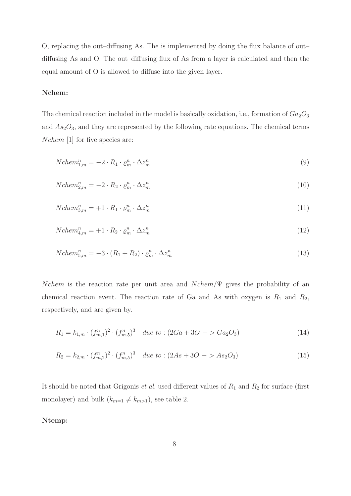O, replacing the out–diffusing As. The is implemented by doing the flux balance of out– diffusing As and O. The out–diffusing flux of As from a layer is calculated and then the equal amount of O is allowed to diffuse into the given layer.

## Nchem:

The chemical reaction included in the model is basically oxidation, i.e., formation of  $Ga<sub>2</sub>O<sub>3</sub>$ and  $As<sub>2</sub>O<sub>3</sub>$ , and they are represented by the following rate equations. The chemical terms Nchem [1] for five species are:

$$
Nchem_{1,m}^n = -2 \cdot R_1 \cdot \varrho_m^n \cdot \Delta z_m^n \tag{9}
$$

$$
Nchem_{2,m}^n = -2 \cdot R_2 \cdot \varrho_m^n \cdot \Delta z_m^n \tag{10}
$$

$$
Nchem_{3,m}^{n} = +1 \cdot R_1 \cdot \varrho_m^{n} \cdot \Delta z_m^{n}
$$
\n
$$
(11)
$$

$$
Nchem_{4,m}^{n} = +1 \cdot R_2 \cdot \varrho_m^{n} \cdot \Delta z_m^{n}
$$
\n
$$
(12)
$$

$$
Nchem_{5,m}^{n} = -3 \cdot (R_1 + R_2) \cdot \varrho_m^{n} \cdot \Delta z_m^{n}
$$
\n
$$
\tag{13}
$$

Nchem is the reaction rate per unit area and  $Nchem/\Psi$  gives the probability of an chemical reaction event. The reaction rate of Ga and As with oxygen is  $R_1$  and  $R_2$ , respectively, and are given by.

$$
R_1 = k_{1,m} \cdot (f_{m,1}^n)^2 \cdot (f_{m,5}^n)^3 \quad due \ to \ : (2Ga + 3O \ - \ > Ga_2O_3) \tag{14}
$$

$$
R_2 = k_{2,m} \cdot (f_{m,2}^n)^2 \cdot (f_{m,5}^n)^3 \quad due\ to\ : (2As + 3O \ - > As_2O_3)
$$
\n
$$
(15)
$$

It should be noted that Grigonis  $et$  al. used different values of  $R_1$  and  $R_2$  for surface (first monolayer) and bulk  $(k_{m=1} \neq k_{m>1})$ , see table 2.

## Ntemp: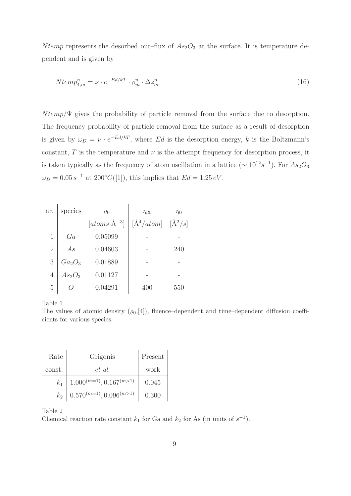N temp represents the desorbed out–flux of  $As_2O_3$  at the surface. It is temperature dependent and is given by

$$
Ntemp_{4,m}^n = \nu \cdot e^{-Ed/kT} \cdot \varrho_m^n \cdot \Delta z_m^n \tag{16}
$$

 $N temp/\Psi$  gives the probability of particle removal from the surface due to desorption. The frequency probability of particle removal from the surface as a result of desorption is given by  $\omega_D = \nu \cdot e^{-Ed/kT}$ , where Ed is the desorption energy, k is the Boltzmann's constant,  $T$  is the temperature and  $\nu$  is the attempt frequency for desorption process, it is taken typically as the frequency of atom oscillation in a lattice ( $\sim 10^{12} s^{-1}$ ). For  $As<sub>2</sub>O<sub>3</sub>$  $\omega_D = 0.05 s^{-1}$  at 200°C([1]), this implies that  $Ed = 1.25 eV$ .

| nr.            | species   | $\varrho_0$              | $\eta_{d0}$    | $\eta_0$    |
|----------------|-----------|--------------------------|----------------|-------------|
|                |           | $[atoms \cdot \AA^{-3}]$ | $[\AA^4/atom]$ | $[\AA^2/s]$ |
| 1              | Ga        | 0.05099                  |                |             |
| $\overline{2}$ | As        | 0.04603                  |                | 240         |
| 3              | $Ga_2O_3$ | 0.01889                  |                |             |
| $\overline{4}$ | $As_2O_3$ | 0.01127                  |                |             |
| $\overline{5}$ |           | 0.04291                  | 400            | 550         |

Table 1

The values of atomic density  $(\varrho_0,[4])$ , fluence–dependent and time–dependent diffusion coefficients for various species.

| Rate   | Grigonis                                   | Present |
|--------|--------------------------------------------|---------|
| const. | et al.                                     | work    |
| $k_1$  | $1.000^{(m=1)}, 0.167^{(m>1)}$             | 0.045   |
| $k_2$  | $\Big  0.570^{(m=1)}, 0.096^{(m>1)} \Big $ | 0.300   |

Table 2

Chemical reaction rate constant  $k_1$  for Ga and  $k_2$  for As (in units of  $s^{-1}$ ).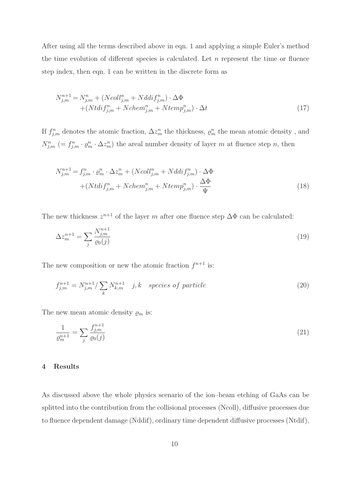After using all the terms described above in eqn. 1 and applying a simple Euler's method the time evolution of different species is calculated. Let  $n$  represent the time or fluence step index, then eqn. 1 can be written in the discrete form as

$$
N_{j,m}^{n+1} = N_{j,m}^n + (Ncoll_{j,m}^n + Nddif_{j,m}^n) \cdot \Delta \Phi
$$
  
+ 
$$
+ (Ntdif_{j,m}^n + Nchem_{j,m}^n + Ntemp_{j,m}^n) \cdot \Delta t
$$
 (17)

If  $f_{j,m}^n$  denotes the atomic fraction,  $\Delta z_m^n$  the thickness,  $\varrho_m^n$  the mean atomic density, and  $N_{j,m}^n$  (=  $f_{j,m}^n \cdot \rho_m^n \cdot \Delta z_m^n$ ) the areal number density of layer m at fluence step n, then

$$
N_{j,m}^{n+1} = f_{j,m}^n \cdot \varrho_m^n \cdot \Delta z_m^n + (Ncoll_{j,m}^n + Nddif_{j,m}^n) \cdot \Delta \Phi
$$

$$
+ (Ntdif_{j,m}^n + Nchem_{j,m}^n + Ntemp_{j,m}^n) \cdot \frac{\Delta \Phi}{\Psi}
$$
(18)

The new thickness  $z^{n+1}$  of the layer m after one fluence step  $\Delta\Phi$  can be calculated:

$$
\Delta z_m^{n+1} = \sum_j \frac{N_{j,m}^{n+1}}{\varrho_0(j)}\tag{19}
$$

The new composition or new the atomic fraction  $f^{n+1}$  is:

$$
f_{j,m}^{n+1} = N_{j,m}^{n+1} / \sum_{k} N_{k,m}^{n+1} \quad j,k \quad species \ of \ particle \tag{20}
$$

The new mean atomic density  $\rho_m$  is:

$$
\frac{1}{\varrho_m^{n+1}} = \sum_j \frac{f_{j,m}^{n+1}}{\varrho_0(j)}\tag{21}
$$

#### 4 Results

As discussed above the whole physics scenario of the ion–beam etching of GaAs can be splitted into the contribution from the collisional processes (Ncoll), diffusive processes due to fluence dependent damage (Nddif), ordinary time dependent diffusive processes (Ntdif),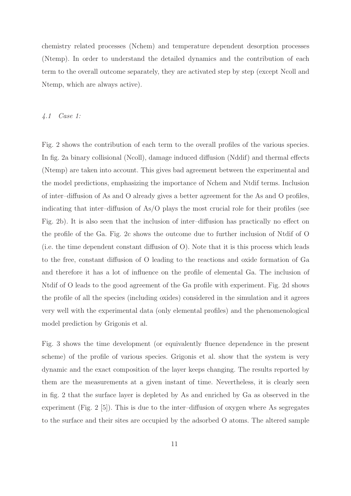chemistry related processes (Nchem) and temperature dependent desorption processes (Ntemp). In order to understand the detailed dynamics and the contribution of each term to the overall outcome separately, they are activated step by step (except Ncoll and Ntemp, which are always active).

### *4.1 Case 1:*

Fig. 2 shows the contribution of each term to the overall profiles of the various species. In fig. 2a binary collisional (Ncoll), damage induced diffusion (Nddif) and thermal effects (Ntemp) are taken into account. This gives bad agreement between the experimental and the model predictions, emphasizing the importance of Nchem and Ntdif terms. Inclusion of inter–diffusion of As and O already gives a better agreement for the As and O profiles, indicating that inter–diffusion of As/O plays the most crucial role for their profiles (see Fig. 2b). It is also seen that the inclusion of inter–diffusion has practically no effect on the profile of the Ga. Fig. 2c shows the outcome due to further inclusion of Ntdif of O (i.e. the time dependent constant diffusion of O). Note that it is this process which leads to the free, constant diffusion of O leading to the reactions and oxide formation of Ga and therefore it has a lot of influence on the profile of elemental Ga. The inclusion of Ntdif of O leads to the good agreement of the Ga profile with experiment. Fig. 2d shows the profile of all the species (including oxides) considered in the simulation and it agrees very well with the experimental data (only elemental profiles) and the phenomenological model prediction by Grigonis et al.

Fig. 3 shows the time development (or equivalently fluence dependence in the present scheme) of the profile of various species. Grigonis et al. show that the system is very dynamic and the exact composition of the layer keeps changing. The results reported by them are the measurements at a given instant of time. Nevertheless, it is clearly seen in fig. 2 that the surface layer is depleted by As and enriched by Ga as observed in the experiment (Fig. 2 [5]). This is due to the inter–diffusion of oxygen where As segregates to the surface and their sites are occupied by the adsorbed O atoms. The altered sample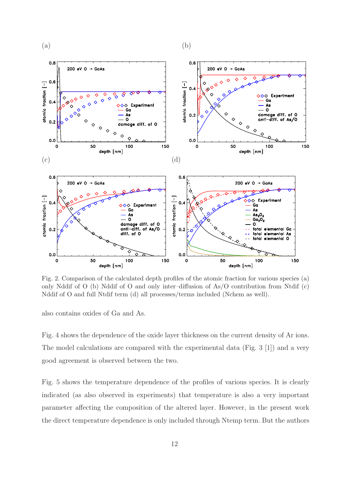



Fig. 2. Comparison of the calculated depth profiles of the atomic fraction for various species (a) only Nddif of O (b) Nddif of O and only inter–diffusion of As/O contribution from Ntdif (c) Nddif of O and full Ntdif term (d) all processes/terms included (Nchem as well).

also contains oxides of Ga and As.

Fig. 4 shows the dependence of the oxide layer thickness on the current density of Ar ions. The model calculations are compared with the experimental data (Fig. 3 [1]) and a very good agreement is observed between the two.

Fig. 5 shows the temperature dependence of the profiles of various species. It is clearly indicated (as also observed in experiments) that temperature is also a very important parameter affecting the composition of the altered layer. However, in the present work the direct temperature dependence is only included through Ntemp term. But the authors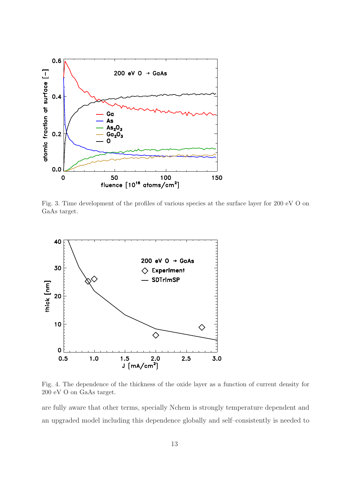

Fig. 3. Time development of the profiles of various species at the surface layer for 200 eV O on GaAs target.



Fig. 4. The dependence of the thickness of the oxide layer as a function of current density for 200 eV O on GaAs target.

are fully aware that other terms, specially Nchem is strongly temperature dependent and an upgraded model including this dependence globally and self–consistently is needed to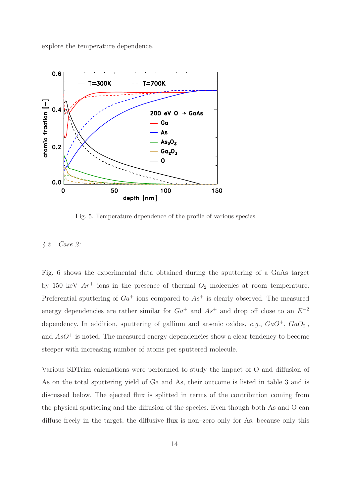explore the temperature dependence.



Fig. 5. Temperature dependence of the profile of various species.

## *4.2 Case 2:*

Fig. 6 shows the experimental data obtained during the sputtering of a GaAs target by 150 keV  $Ar^+$  ions in the presence of thermal  $O_2$  molecules at room temperature. Preferential sputtering of  $Ga^+$  ions compared to  $As^+$  is clearly observed. The measured energy dependencies are rather similar for  $Ga<sup>+</sup>$  and  $As<sup>+</sup>$  and drop off close to an  $E<sup>-2</sup>$ dependency. In addition, sputtering of gallium and arsenic oxides,  $e.g., GaO<sup>+</sup>, GaO<sup>+</sup><sub>2</sub>$ , and  $AsO^+$  is noted. The measured energy dependencies show a clear tendency to become steeper with increasing number of atoms per sputtered molecule.

Various SDTrim calculations were performed to study the impact of O and diffusion of As on the total sputtering yield of Ga and As, their outcome is listed in table 3 and is discussed below. The ejected flux is splitted in terms of the contribution coming from the physical sputtering and the diffusion of the species. Even though both As and O can diffuse freely in the target, the diffusive flux is non–zero only for As, because only this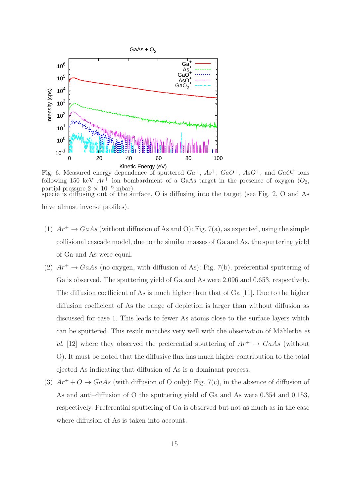

Fig. 6. Measured energy dependence of sputtered  $Ga^+$ ,  $As^+$ ,  $GaO^+$ ,  $AsO^+$ , and  $GaO<sub>2</sub><sup>+</sup>$  ions following 150 keV  $Ar^+$  ion bombardment of a GaAs target in the presence of oxygen  $(O_2,$ partial pressure  $2 \times 10^{-6}$  mbar). specie is diffusing out of the surface. O is diffusing into the target (see Fig. 2, O and As have almost inverse profiles).

- (1)  $Ar^+ \rightarrow GaAs$  (without diffusion of As and O): Fig. 7(a), as expected, using the simple collisional cascade model, due to the similar masses of Ga and As, the sputtering yield of Ga and As were equal.
- (2)  $Ar^+ \rightarrow GaAs$  (no oxygen, with diffusion of As): Fig. 7(b), preferential sputtering of Ga is observed. The sputtering yield of Ga and As were 2.096 and 0.653, respectively. The diffusion coefficient of As is much higher than that of Ga [11]. Due to the higher diffusion coefficient of As the range of depletion is larger than without diffusion as discussed for case 1. This leads to fewer As atoms close to the surface layers which can be sputtered. This result matches very well with the observation of Mahlerbe *et al.* [12] where they observed the preferential sputtering of  $Ar^+ \rightarrow GaAs$  (without O). It must be noted that the diffusive flux has much higher contribution to the total ejected As indicating that diffusion of As is a dominant process.
- (3)  $Ar^+ + O \rightarrow GaAs$  (with diffusion of O only): Fig. 7(c), in the absence of diffusion of As and anti–diffusion of O the sputtering yield of Ga and As were 0.354 and 0.153, respectively. Preferential sputtering of Ga is observed but not as much as in the case where diffusion of As is taken into account.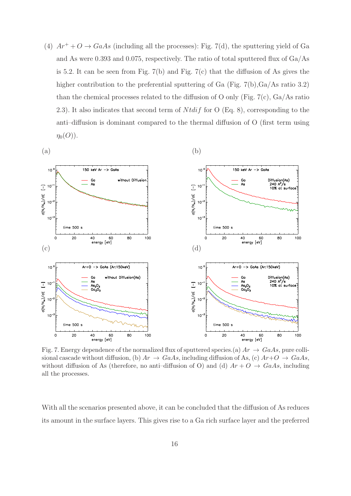(4)  $Ar^+ + O \rightarrow GaAs$  (including all the processes): Fig. 7(d), the sputtering yield of Ga and As were 0.393 and 0.075, respectively. The ratio of total sputtered flux of Ga/As is 5.2. It can be seen from Fig. 7(b) and Fig. 7(c) that the diffusion of As gives the higher contribution to the preferential sputtering of Ga (Fig. 7(b), $Ga/As$  ratio 3.2) than the chemical processes related to the diffusion of O only (Fig.  $7(c)$ , Ga/As ratio 2.3). It also indicates that second term of  $N t \, dt \, f$  for O (Eq. 8), corresponding to the anti–diffusion is dominant compared to the thermal diffusion of O (first term using  $\eta_0(O)$ ).



Fig. 7. Energy dependence of the normalized flux of sputtered species. (a)  $Ar \rightarrow GaAs$ , pure collisional cascade without diffusion, (b)  $Ar \rightarrow GaAs$ , including diffusion of As, (c)  $Ar+O \rightarrow GaAs$ , without diffusion of As (therefore, no anti-diffusion of O) and (d)  $Ar + O \rightarrow GaAs$ , including all the processes.

With all the scenarios presented above, it can be concluded that the diffusion of As reduces its amount in the surface layers. This gives rise to a Ga rich surface layer and the preferred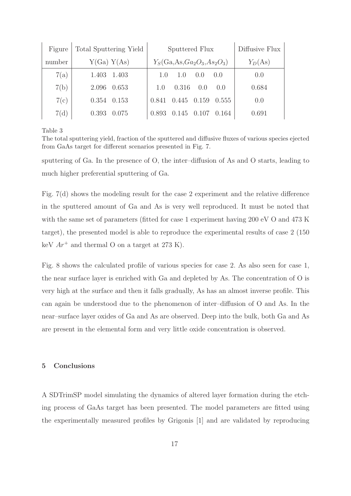| Figure | <b>Total Sputtering Yield</b> | Sputtered Flux                     | Diffusive Flux |
|--------|-------------------------------|------------------------------------|----------------|
| number | Y(Ga) Y(As)                   | $Y_S(Ga, As, Ga_2O_3, As_2O_3)$    | $Y_D(As)$      |
| 7(a)   | 1.403 1.403                   | 1.(1)<br>(1.0)<br>1.0<br>(0.0)     | 0.0            |
| 7(b)   | 0.653<br>2.096                | 0.316<br>0.0<br>(1.0)<br>1(0)      | 0.684          |
| 7(c)   | $0.354$ $0.153$               | 0.841<br>0.159<br>0.555<br>(0.445) | 0.0            |
| 7(d)   | 0.393<br>0.075                | 0.893<br>0.145<br>0.164<br>(1)     | 0.691          |

Table 3

The total sputtering yield, fraction of the sputtered and diffusive fluxes of various species ejected from GaAs target for different scenarios presented in Fig. 7.

sputtering of Ga. In the presence of O, the inter–diffusion of As and O starts, leading to much higher preferential sputtering of Ga.

Fig. 7(d) shows the modeling result for the case 2 experiment and the relative difference in the sputtered amount of Ga and As is very well reproduced. It must be noted that with the same set of parameters (fitted for case 1 experiment having 200 eV O and 473 K target), the presented model is able to reproduce the experimental results of case 2 (150 keV  $Ar^+$  and thermal O on a target at 273 K).

Fig. 8 shows the calculated profile of various species for case 2. As also seen for case 1, the near surface layer is enriched with Ga and depleted by As. The concentration of O is very high at the surface and then it falls gradually, As has an almost inverse profile. This can again be understood due to the phenomenon of inter–diffusion of O and As. In the near–surface layer oxides of Ga and As are observed. Deep into the bulk, both Ga and As are present in the elemental form and very little oxide concentration is observed.

# 5 Conclusions

A SDTrimSP model simulating the dynamics of altered layer formation during the etching process of GaAs target has been presented. The model parameters are fitted using the experimentally measured profiles by Grigonis [1] and are validated by reproducing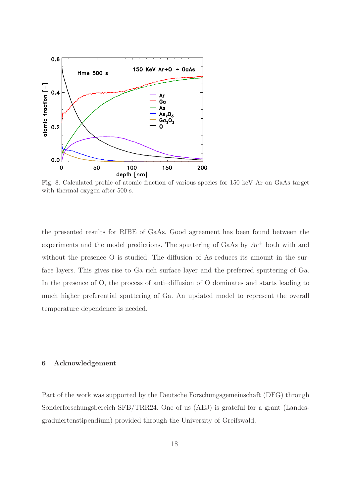

Fig. 8. Calculated profile of atomic fraction of various species for 150 keV Ar on GaAs target with thermal oxygen after 500 s.

the presented results for RIBE of GaAs. Good agreement has been found between the experiments and the model predictions. The sputtering of GaAs by  $Ar^+$  both with and without the presence O is studied. The diffusion of As reduces its amount in the surface layers. This gives rise to Ga rich surface layer and the preferred sputtering of Ga. In the presence of O, the process of anti-diffusion of O dominates and starts leading to much higher preferential sputtering of Ga. An updated model to represent the overall temperature dependence is needed.

## 6 Acknowledgement

Part of the work was supported by the Deutsche Forschungsgemeinschaft (DFG) through Sonderforschungsbereich SFB/TRR24. One of us (AEJ) is grateful for a grant (Landesgraduiertenstipendium) provided through the University of Greifswald.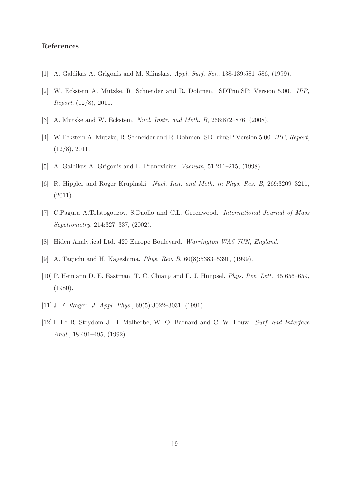## References

- [1] A. Galdikas A. Grigonis and M. Silinskas. Appl. Surf. Sci., 138-139:581-586, (1999).
- [2] W. Eckstein A. Mutzke, R. Schneider and R. Dohmen. SDTrimSP: Version 5.00. IPP, Report, (12/8), 2011.
- [3] A. Mutzke and W. Eckstein. Nucl. Instr. and Meth. B, 266:872–876, (2008).
- [4] W.Eckstein A. Mutzke, R. Schneider and R. Dohmen. SDTrimSP Version 5.00. IPP, Report, (12/8), 2011.
- [5] A. Galdikas A. Grigonis and L. Pranevicius. *Vacuum*, 51:211–215, (1998).
- [6] R. Hippler and Roger Krupinski. Nucl. Inst. and Meth. in Phys. Res. B, 269:3209–3211, (2011).
- [7] C.Pagura A.Tolstogouzov, S.Daolio and C.L. Greenwood. International Journal of Mass Sepctrometry, 214:327–337, (2002).
- [8] Hiden Analytical Ltd. 420 Europe Boulevard. Warrington WA5 7UN, England.
- [9] A. Taguchi and H. Kageshima. Phys. Rev. B, 60(8):5383–5391, (1999).
- [10] P. Heimann D. E. Eastman, T. C. Chiang and F. J. Himpsel. Phys. Rev. Lett., 45:656–659, (1980).
- [11] J. F. Wager. J. Appl. Phys., 69(5):3022–3031, (1991).
- [12] I. Le R. Strydom J. B. Malherbe, W. O. Barnard and C. W. Louw. Surf. and Interface Anal., 18:491–495, (1992).